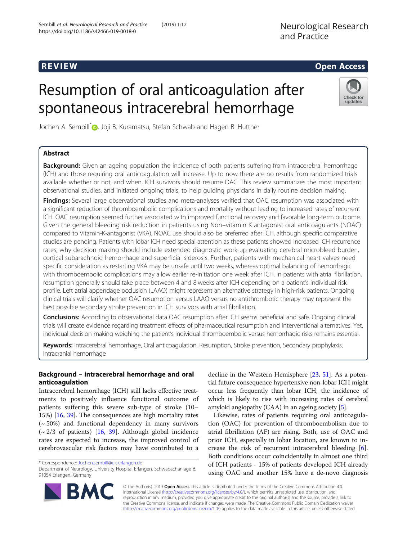## R EVI EW Open Access

# Resumption of oral anticoagulation after spontaneous intracerebral hemorrhage

Jochen A. Sembill<sup>[\\*](http://orcid.org/0000-0003-0014-3389)</sup><sup>D</sup>, Joji B. Kuramatsu, Stefan Schwab and Hagen B. Huttner

## Abstract

**Background:** Given an ageing population the incidence of both patients suffering from intracerebral hemorrhage (ICH) and those requiring oral anticoagulation will increase. Up to now there are no results from randomized trials available whether or not, and when, ICH survivors should resume OAC. This review summarizes the most important observational studies, and initiated ongoing trials, to help guiding physicians in daily routine decision making.

Findings: Several large observational studies and meta-analyses verified that OAC resumption was associated with a significant reduction of thromboembolic complications and mortality without leading to increased rates of recurrent ICH. OAC resumption seemed further associated with improved functional recovery and favorable long-term outcome. Given the general bleeding risk reduction in patients using Non–vitamin K antagonist oral anticoagulants (NOAC) compared to Vitamin-K-antagonist (VKA), NOAC use should also be preferred after ICH, although specific comparative studies are pending. Patients with lobar ICH need special attention as these patients showed increased ICH recurrence rates, why decision making should include extended diagnostic work-up evaluating cerebral microbleed burden, cortical subarachnoid hemorrhage and superficial siderosis. Further, patients with mechanical heart valves need specific consideration as restarting VKA may be unsafe until two weeks, whereas optimal balancing of hemorrhagic with thromboembolic complications may allow earlier re-initiation one week after ICH. In patients with atrial fibrillation, resumption generally should take place between 4 and 8 weeks after ICH depending on a patient's individual risk profile. Left atrial appendage occlusion (LAAO) might represent an alternative strategy in high-risk patients. Ongoing clinical trials will clarify whether OAC resumption versus LAAO versus no antithrombotic therapy may represent the best possible secondary stroke prevention in ICH survivors with atrial fibrillation.

Conclusions: According to observational data OAC resumption after ICH seems beneficial and safe. Ongoing clinical trials will create evidence regarding treatment effects of pharmaceutical resumption and interventional alternatives. Yet, individual decision making weighing the patient's individual thromboembolic versus hemorrhagic risks remains essential.

Keywords: Intracerebral hemorrhage, Oral anticoagulation, Resumption, Stroke prevention, Secondary prophylaxis, Intracranial hemorrhage

## Background – intracerebral hemorrhage and oral anticoagulation

Intracerebral hemorrhage (ICH) still lacks effective treatments to positively influence functional outcome of patients suffering this severe sub-type of stroke (10– 15%) [[16,](#page-8-0) [39\]](#page-9-0). The consequences are high mortality rates (~ 50%) and functional dependency in many survivors  $\left(\sim 2/3 \text{ of patients}\right)$  [\[16](#page-8-0), [39](#page-9-0)]. Although global incidence rates are expected to increase, the improved control of cerebrovascular risk factors may have contributed to a

decline in the Western Hemisphere [[23](#page-8-0), [51\]](#page-9-0). As a potential future consequence hypertensive non-lobar ICH might occur less frequently than lobar ICH, the incidence of which is likely to rise with increasing rates of cerebral amyloid angiopathy (CAA) in an ageing society [[5\]](#page-8-0).

Likewise, rates of patients requiring oral anticoagulation (OAC) for prevention of thromboembolism due to atrial fibrillation (AF) are rising. Both, use of OAC and prior ICH, especially in lobar location, are known to increase the risk of recurrent intracerebral bleeding [\[6](#page-8-0)]. Both conditions occur coincidentally in almost one third of ICH patients - 15% of patients developed ICH already using OAC and another 15% have a de-novo diagnosis

© The Author(s). 2019 Open Access This article is distributed under the terms of the Creative Commons Attribution 4.0 International License [\(http://creativecommons.org/licenses/by/4.0/](http://creativecommons.org/licenses/by/4.0/)), which permits unrestricted use, distribution, and reproduction in any medium, provided you give appropriate credit to the original author(s) and the source, provide a link to the Creative Commons license, and indicate if changes were made. The Creative Commons Public Domain Dedication waiver [\(http://creativecommons.org/publicdomain/zero/1.0/](http://creativecommons.org/publicdomain/zero/1.0/)) applies to the data made available in this article, unless otherwise stated.





<sup>\*</sup> Correspondence: [Jochen.sembill@uk-erlangen.de](mailto:Jochen.sembill@uk-erlangen.de)

Department of Neurology, University Hospital Erlangen, Schwabachanlage 6, 91054 Erlangen, Germany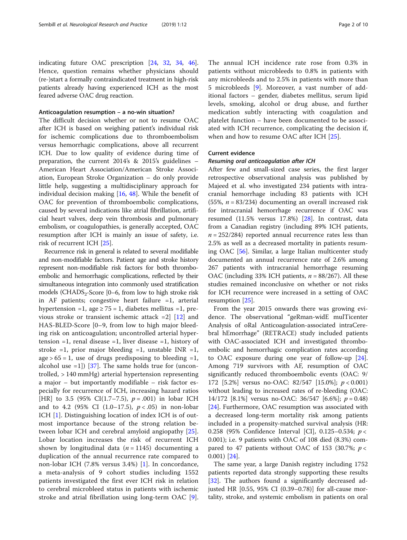indicating future OAC prescription [\[24,](#page-8-0) [32](#page-8-0), [34,](#page-8-0) [46](#page-9-0)]. Hence, question remains whether physicians should (re-)start a formally contraindicated treatment in high-risk patients already having experienced ICH as the most feared adverse OAC drug reaction.

#### Anticoagulation resumption – a no-win situation?

The difficult decision whether or not to resume OAC after ICH is based on weighing patient's individual risk for ischemic complications due to thromboembolism versus hemorrhagic complications, above all recurrent ICH. Due to low quality of evidence during time of preparation, the current 2014's & 2015's guidelines – American Heart Association/American Stroke Association, European Stroke Organization – do only provide little help, suggesting a multidisciplinary approach for individual decision making [[16](#page-8-0), [48\]](#page-9-0). While the benefit of OAC for prevention of thromboembolic complications, caused by several indications like atrial fibrillation, artificial heart valves, deep vein thrombosis and pulmonary embolism, or coagulopathies, is generally accepted, OAC resumption after ICH is mainly an issue of safety, i.e. risk of recurrent ICH [\[25](#page-8-0)].

Recurrence risk in general is related to several modifiable and non-modifiable factors. Patient age and stroke history represent non-modifiable risk factors for both thromboembolic and hemorrhagic complications, reflected by their simultaneous integration into commonly used stratification models (CHADS<sub>2</sub>-Score [0–6, from low to high stroke risk in AF patients; congestive heart failure =1, arterial hypertension =1, age  $\geq$  75 = 1, diabetes mellitus =1, previous stroke or transient ischemic attack =2] [[12\]](#page-8-0) and HAS-BLED-Score [0–9, from low to high major bleeding risk on anticoagulation; uncontrolled arterial hypertension  $=1$ , renal disease  $=1$ , liver disease  $=1$ , history of stroke =1, prior major bleeding =1, unstable INR =1, age  $> 65 = 1$ , use of drugs predisposing to bleeding  $= 1$ , alcohol use  $=1$ ]) [[37\]](#page-8-0). The same holds true for (uncontrolled, > 140 mmHg) arterial hypertension representing a major – but importantly modifiable – risk factor especially for recurrence of ICH, increasing hazard ratios [HR] to 3.5 (95% CI(1.7–7.5),  $p = .001$ ) in lobar ICH and to 4.2 (95% CI  $(1.0-17.5)$ ,  $p < .05$ ) in non-lobar ICH [[1\]](#page-8-0). Distinguishing location of index ICH is of outmost importance because of the strong relation between lobar ICH and cerebral amyloid angiopathy [\[25](#page-8-0)]. Lobar location increases the risk of recurrent ICH shown by longitudinal data ( $n = 1145$ ) documenting a duplication of the annual recurrence rate compared to non-lobar ICH (7.8% versus 3.4%) [[1\]](#page-8-0). In concordance, a meta-analysis of 9 cohort studies including 1552 patients investigated the first ever ICH risk in relation to cerebral microbleed status in patients with ischemic stroke and atrial fibrillation using long-term OAC [\[9](#page-8-0)].

The annual ICH incidence rate rose from 0.3% in patients without microbleeds to 0.8% in patients with any microbleeds and to 2.5% in patients with more than 5 microbleeds [[9\]](#page-8-0). Moreover, a vast number of additional factors – gender, diabetes mellitus, serum lipid levels, smoking, alcohol or drug abuse, and further medication subtly interacting with coagulation and platelet function – have been documented to be associated with ICH recurrence, complicating the decision if, when and how to resume OAC after ICH [[25\]](#page-8-0).

#### Current evidence

#### Resuming oral anticoagulation after ICH

After few and small-sized case series, the first larger retrospective observational analysis was published by Majeed et al. who investigated 234 patients with intracranial hemorrhage including 83 patients with ICH (55%,  $n = 83/234$ ) documenting an overall increased risk for intracranial hemorrhage recurrence if OAC was resumed (11.5% versus 17.8%) [[28\]](#page-8-0). In contrast, data from a Canadian registry (including 89% ICH patients,  $n = 252/284$  reported annual recurrence rates less than 2.5% as well as a decreased mortality in patients resuming OAC [[56\]](#page-9-0). Similar, a large Italian multicenter study documented an annual recurrence rate of 2.6% among 267 patients with intracranial hemorrhage resuming OAC (including 33% ICH patients,  $n = 88/267$ ). All these studies remained inconclusive on whether or not risks for ICH recurrence were increased in a setting of OAC resumption [[25](#page-8-0)].

From the year 2015 onwards there was growing evidence. The observational "geRman-widE mulTicenter Analysis of oRal Anticoagulation-associated intraCerebral hEmorrhage" (RETRACE) study included patients with OAC-associated ICH and investigated thromboembolic and hemorrhagic complication rates according to OAC exposure during one year of follow-up [\[24](#page-8-0)]. Among 719 survivors with AF, resumption of OAC significantly reduced thromboembolic events (OAC: 9/ 172 [5.2%] versus no-OAC: 82/547 [15.0%]; p < 0.001) without leading to increased rates of re-bleeding (OAC: 14/172 [8.1%] versus no-OAC: 36/547 [6.6%];  $p = 0.48$ ] [[24\]](#page-8-0). Furthermore, OAC resumption was associated with a decreased long-term mortality risk among patients included in a propensity-matched survival analysis (HR: 0.258 (95% Confidence Interval [CI], 0.125–0.534; p < 0.001); i.e. 9 patients with OAC of 108 died (8.3%) compared to 47 patients without OAC of 153 (30.7%;  $p <$ 0.001) [[24\]](#page-8-0).

The same year, a large Danish registry including 1752 patients reported data strongly supporting these results [[32\]](#page-8-0). The authors found a significantly decreased adjusted HR [0.55, 95% CI (0.39–0.78)] for all-cause mortality, stroke, and systemic embolism in patients on oral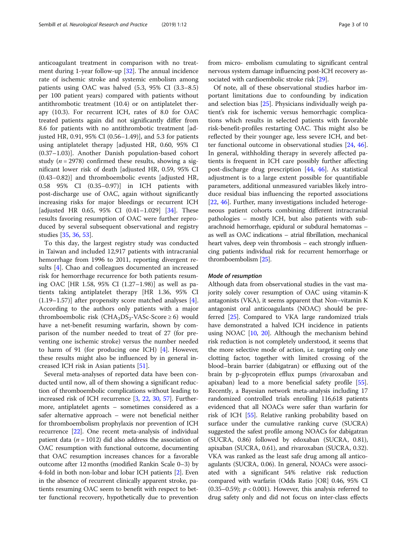anticoagulant treatment in comparison with no treatment during 1-year follow-up [\[32](#page-8-0)]. The annual incidence rate of ischemic stroke and systemic embolism among patients using OAC was halved (5.3, 95% CI (3.3–8.5) per 100 patient years) compared with patients without antithrombotic treatment (10.4) or on antiplatelet therapy (10.3). For recurrent ICH, rates of 8.0 for OAC treated patients again did not significantly differ from 8.6 for patients with no antithrombotic treatment [adjusted HR, 0.91, 95% CI (0.56–1.49)], and 5.3 for patients using antiplatelet therapy [adjusted HR, 0.60, 95% CI (0.37–1.03)]. Another Danish population-based cohort study ( $n = 2978$ ) confirmed these results, showing a significant lower risk of death [adjusted HR, 0.59, 95% CI (0.43–0.82)] and thromboembolic events [adjusted HR, 0.58 95% CI (0.35–0.97)] in ICH patients with post-discharge use of OAC, again without significantly increasing risks for major bleedings or recurrent ICH [adjusted HR 0.65, 95% CI (0.41–1.029] [[34\]](#page-8-0). These results favoring resumption of OAC were further reproduced by several subsequent observational and registry studies [\[35,](#page-8-0) [36,](#page-8-0) [53\]](#page-9-0).

To this day, the largest registry study was conducted in Taiwan and included 12,917 patients with intracranial hemorrhage from 1996 to 2011, reporting divergent results [\[4](#page-8-0)]. Chao and colleagues documented an increased risk for hemorrhage recurrence for both patients resuming OAC [HR 1.58, 95% CI (1.27–1.98)] as well as patients taking antiplatelet therapy [HR 1.36, 95% CI (1.19–1.57)] after propensity score matched analyses [\[4](#page-8-0)]. According to the authors only patients with a major thromboembolic risk  $(CHA<sub>2</sub>DS<sub>2</sub>-VASC-Score \ge 6)$  would have a net-benefit resuming warfarin, shown by comparison of the number needed to treat of 27 (for preventing one ischemic stroke) versus the number needed to harm of 91 (for producing one ICH) [[4](#page-8-0)]. However, these results might also be influenced by in general increased ICH risk in Asian patients [[51\]](#page-9-0).

Several meta-analyses of reported data have been conducted until now, all of them showing a significant reduction of thromboembolic complications without leading to increased risk of ICH recurrence [[3,](#page-8-0) [22,](#page-8-0) [30](#page-8-0), [57](#page-9-0)]. Furthermore, antiplatelet agents – sometimes considered as a safer alternative approach – were not beneficial neither for thromboembolism prophylaxis nor prevention of ICH recurrence [[22](#page-8-0)]. One recent meta-analysis of individual patient data ( $n = 1012$ ) did also address the association of OAC resumption with functional outcome, documenting that OAC resumption increases chances for a favorable outcome after 12 months (modified Rankin Scale 0–3) by 4-fold in both non-lobar and lobar ICH patients [\[2\]](#page-8-0). Even in the absence of recurrent clinically apparent stroke, patients resuming OAC seem to benefit with respect to better functional recovery, hypothetically due to prevention from micro- embolism cumulating to significant central nervous system damage influencing post-ICH recovery associated with cardioembolic stroke risk [\[29](#page-8-0)].

Of note, all of these observational studies harbor important limitations due to confounding by indication and selection bias [\[25](#page-8-0)]. Physicians individually weigh patient's risk for ischemic versus hemorrhagic complications which results in selected patients with favorable risk-benefit-profiles restarting OAC. This might also be reflected by their younger age, less severe ICH, and better functional outcome in observational studies [[24,](#page-8-0) [46](#page-9-0)]. In general, withholding therapy in severely affected patients is frequent in ICH care possibly further affecting post-discharge drug prescription [[44,](#page-9-0) [46](#page-9-0)]. As statistical adjustment is to a large extent possible for quantifiable parameters, additional unmeasured variables likely introduce residual bias influencing the reported associations [[22,](#page-8-0) [46\]](#page-9-0). Further, many investigations included heterogeneous patient cohorts combining different intracranial pathologies – mostly ICH, but also patients with subarachnoid hemorrhage, epidural or subdural hematomas – as well as OAC indications – atrial fibrillation, mechanical heart valves, deep vein thrombosis – each strongly influencing patients individual risk for recurrent hemorrhage or thromboembolism [\[25](#page-8-0)].

#### Mode of resumption

Although data from observational studies in the vast majority solely cover resumption of OAC using vitamin-K antagonists (VKA), it seems apparent that Non–vitamin K antagonist oral anticoagulants (NOAC) should be preferred [[25](#page-8-0)]. Compared to VKA large randomized trials have demonstrated a halved ICH incidence in patients using NOAC [\[10,](#page-8-0) [20\]](#page-8-0). Although the mechanism behind risk reduction is not completely understood, it seems that the more selective mode of action, i.e. targeting only one clotting factor, together with limited crossing of the blood–brain barrier (dabigatran) or effluxing out of the brain by p-glycoprotein efflux pumps (rivaroxaban and apixaban) lead to a more beneficial safety profile [[55](#page-9-0)]. Recently, a Bayesian network meta-analysis including 17 randomized controlled trials enrolling 116,618 patients evidenced that all NOACs were safer than warfarin for risk of ICH [[55\]](#page-9-0). Relative ranking probability based on surface under the cumulative ranking curve (SUCRA) suggested the safest profile among NOACs for dabigatran (SUCRA, 0.86) followed by edoxaban (SUCRA, 0.81), apixaban (SUCRA, 0.61), and rivaroxaban (SUCRA, 0.32). VKA was ranked as the least safe drug among all anticoagulants (SUCRA, 0.06). In general, NOACs were associated with a significant 54% relative risk reduction compared with warfarin (Odds Ratio [OR] 0.46, 95% CI  $(0.35-0.59)$ ;  $p < 0.001$ ). However, this analysis referred to drug safety only and did not focus on inter-class effects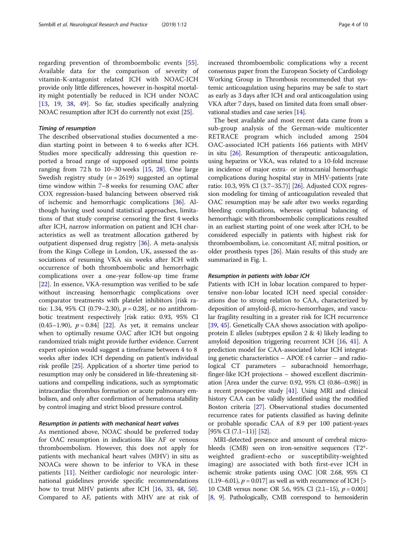regarding prevention of thromboembolic events [\[55](#page-9-0)]. Available data for the comparison of severity of vitamin-K-antagonist related ICH with NOAC-ICH provide only little differences, however in-hospital mortality might potentially be reduced in ICH under NOAC [[13,](#page-8-0) [19,](#page-8-0) [38,](#page-9-0) [49\]](#page-9-0). So far, studies specifically analyzing NOAC resumption after ICH do currently not exist [\[25](#page-8-0)].

#### Timing of resumption

The described observational studies documented a median starting point in between 4 to 6 weeks after ICH. Studies more specifically addressing this question reported a broad range of supposed optimal time points ranging from 72 h to 10–30 weeks [[15,](#page-8-0) [28](#page-8-0)]. One large Swedish registry study ( $n = 2619$ ) suggested an optimal time window within 7–8 weeks for resuming OAC after COX regression-based balancing between observed risk of ischemic and hemorrhagic complications [\[36](#page-8-0)]. Although having used sound statistical approaches, limitations of that study comprise censoring the first 4 weeks after ICH, narrow information on patient and ICH characteristics as well as treatment allocation gathered by outpatient dispensed drug registry [[36\]](#page-8-0). A meta-analysis from the Kings College in London, UK, assessed the associations of resuming VKA six weeks after ICH with occurrence of both thromboembolic and hemorrhagic complications over a one-year follow-up time frame [[22\]](#page-8-0). In essence, VKA-resumption was verified to be safe without increasing hemorrhagic complications over comparator treatments with platelet inhibitors [risk ratio: 1.34, 95% CI (0.79–2.30),  $p = 0.28$ ], or no antithrombotic treatment respectively [risk ratio: 0.93, 95% CI  $(0.45-1.90)$ ,  $p = 0.84$  [\[22\]](#page-8-0). As yet, it remains unclear when to optimally resume OAC after ICH but ongoing randomized trials might provide further evidence. Current expert opinion would suggest a timeframe between 4 to 8 weeks after index ICH depending on patient's individual risk profile [\[25\]](#page-8-0). Application of a shorter time period to resumption may only be considered in life-threatening situations and compelling indications, such as symptomatic intracardiac thrombus formation or acute pulmonary embolism, and only after confirmation of hematoma stability by control imaging and strict blood pressure control.

#### Resumption in patients with mechanical heart valves

As mentioned above, NOAC should be preferred today for OAC resumption in indications like AF or venous thromboembolism. However, this does not apply for patients with mechanical heart valves (MHV) in situ as NOACs were shown to be inferior to VKA in these patients [[11](#page-8-0)]. Neither cardiologic nor neurologic international guidelines provide specific recommendations how to treat MHV patients after ICH [\[16](#page-8-0), [33,](#page-8-0) [48,](#page-9-0) [50](#page-9-0)]. Compared to AF, patients with MHV are at risk of increased thromboembolic complications why a recent consensus paper from the European Society of Cardiology Working Group in Thrombosis recommended that systemic anticoagulation using heparins may be safe to start as early as 3 days after ICH and oral anticoagulation using VKA after 7 days, based on limited data from small observational studies and case series [[14](#page-8-0)].

The best available and most recent data came from a sub-group analysis of the German-wide multicenter RETRACE program which included among 2504 OAC-associated ICH patients 166 patients with MHV in situ [[26](#page-8-0)]. Resumption of therapeutic anticoagulation, using heparins or VKA, was related to a 10-fold increase in incidence of major extra- or intracranial hemorrhagic complications during hospital stay in MHV-patients [rate ratio: 10.3, 95% CI (3.7–35.7)] [[26](#page-8-0)]. Adjusted COX regression modeling for timing of anticoagulation revealed that OAC resumption may be safe after two weeks regarding bleeding complications, whereas optimal balancing of hemorrhagic with thromboembolic complications resulted in an earliest starting point of one week after ICH, to be considered especially in patients with highest risk for thromboembolism, i.e. concomitant AF, mitral position, or older prosthesis types [\[26\]](#page-8-0). Main results of this study are summarized in Fig. [1.](#page-4-0)

#### Resumption in patients with lobar ICH

Patients with ICH in lobar location compared to hypertensive non-lobar located ICH need special considerations due to strong relation to CAA, characterized by deposition of amyloid-β, micro-hemorrhages, and vascular fragility resulting in a greater risk for ICH recurrence [[39,](#page-9-0) [45\]](#page-9-0). Genetically CAA shows association with apolipoprotein E alleles (subtypes epsilon 2 & 4) likely leading to amyloid deposition triggering recurrent ICH [\[16](#page-8-0), [41](#page-9-0)]. A prediction model for CAA-associated lobar ICH integrating genetic characteristics  $-$  APOE  $\varepsilon$ 4 carrier  $-$  and radiological CT parameters – subarachnoid hemorrhage, finger-like ICH projections – showed excellent discrimination [Area under the curve: 0.92, 95% CI (0.86–0.98)] in a recent prospective study [[41](#page-9-0)]. Using MRI and clinical history CAA can be validly identified using the modified Boston criteria [\[27](#page-8-0)]. Observational studies documented recurrence rates for patients classified as having definite or probable sporadic CAA of 8.9 per 100 patient-years  $[95\% \text{ CI } (7.1-11)]$   $[52]$ .

MRI-detected presence and amount of cerebral microbleeds (CMB) seen on iron-sensitive sequences (T2\* weighted gradient-echo or susceptibility-weighted imaging) are associated with both first-ever ICH in ischemic stroke patients using OAC [OR 2.68, 95% CI  $(1.19-6.01)$ ,  $p = 0.017$ ] as well as with recurrence of ICH [> 10 CMB versus none: OR 5.6, 95% CI  $(2.1-15)$ ,  $p = 0.001$ [[8](#page-8-0), [9](#page-8-0)]. Pathologically, CMB correspond to hemosiderin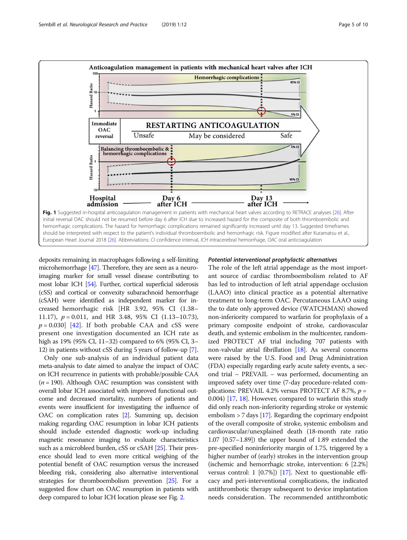<span id="page-4-0"></span>

deposits remaining in macrophages following a self-limiting microhemorrhage [[47](#page-9-0)]. Therefore, they are seen as a neuroimaging marker for small vessel disease contributing to most lobar ICH [\[54](#page-9-0)]. Further, cortical superficial siderosis (cSS) and cortical or convexity subarachnoid hemorrhage (cSAH) were identified as independent marker for increased hemorrhagic risk [HR 3.92, 95% CI (1.38– 11.17),  $p = 0.011$ , and HR 3.48, 95% CI (1.13–10.73),  $p = 0.030$ ] [[42\]](#page-9-0). If both probable CAA and cSS were present one investigation documented an ICH rate as high as 19% (95% CI, 11–32) compared to 6% (95% CI, 3– 12) in patients without cSS during 5 years of follow-up [\[7\]](#page-8-0).

Only one sub-analysis of an individual patient data meta-analysis to date aimed to analyze the impact of OAC on ICH recurrence in patients with probable/possible CAA  $(n = 190)$ . Although OAC resumption was consistent with overall lobar ICH associated with improved functional outcome and decreased mortality, numbers of patients and events were insufficient for investigating the influence of OAC on complication rates [\[2\]](#page-8-0). Summing up, decision making regarding OAC resumption in lobar ICH patients should include extended diagnostic work-up including magnetic resonance imaging to evaluate characteristics such as a microbleed burden, cSS or cSAH [[25](#page-8-0)]. Their presence should lead to even more critical weighing of the potential benefit of OAC resumption versus the increased bleeding risk, considering also alternative interventional strategies for thromboembolism prevention [\[25\]](#page-8-0). For a suggested flow chart on OAC resumption in patients with deep compared to lobar ICH location please see Fig. [2](#page-5-0).

#### Potential interventional prophylactic alternatives

The role of the left atrial appendage as the most important source of cardiac thromboembolism related to AF has led to introduction of left atrial appendage occlusion (LAAO) into clinical practice as a potential alternative treatment to long-term OAC. Percutaneous LAAO using the to date only approved device (WATCHMAN) showed non-inferiority compared to warfarin for prophylaxis of a primary composite endpoint of stroke, cardiovascular death, and systemic embolism in the multicenter, randomized PROTECT AF trial including 707 patients with non-valvular atrial fibrillation [[18\]](#page-8-0). As several concerns were raised by the U.S. Food and Drug Administration (FDA) especially regarding early acute safety events, a second trial – PREVAIL – was performed, documenting an improved safety over time (7-day procedure-related complications: PREVAIL 4.2% versus PROTECT AF 8.7%,  $p =$ 0.004) [\[17](#page-8-0), [18\]](#page-8-0). However, compared to warfarin this study did only reach non-inferiority regarding stroke or systemic embolism  $> 7$  days [[17](#page-8-0)]. Regarding the coprimary endpoint of the overall composite of stroke, systemic embolism and cardiovascular/unexplained death (18-month rate ratio 1.07 [0.57–1.89]) the upper bound of 1.89 extended the pre-specified noninferiority margin of 1.75, triggered by a higher number of (early) strokes in the intervention group (ischemic and hemorrhagic stroke, intervention: 6 [2.2%] versus control: 1 [0.7%]) [\[17\]](#page-8-0). Next to questionable efficacy and peri-interventional complications, the indicated antithrombotic therapy subsequent to device implantation needs consideration. The recommended antithrombotic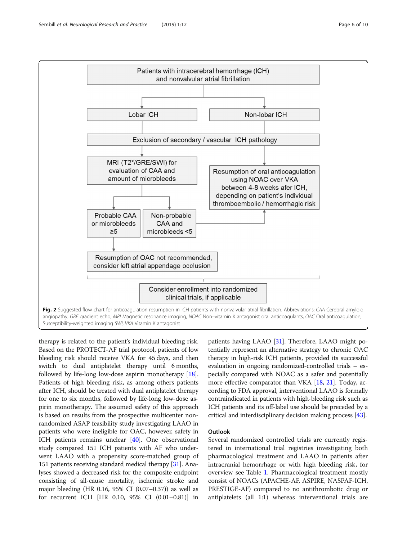<span id="page-5-0"></span>

therapy is related to the patient's individual bleeding risk. Based on the PROTECT-AF trial protocol, patients of low bleeding risk should receive VKA for 45 days, and then switch to dual antiplatelet therapy until 6 months, followed by life-long low-dose aspirin monotherapy [[18](#page-8-0)]. Patients of high bleeding risk, as among others patients after ICH, should be treated with dual antiplatelet therapy for one to six months, followed by life-long low-dose aspirin monotherapy. The assumed safety of this approach is based on results from the prospective multicenter nonrandomized ASAP feasibility study investigating LAAO in patients who were ineligible for OAC, however, safety in ICH patients remains unclear [\[40](#page-9-0)]. One observational study compared 151 ICH patients with AF who underwent LAAO with a propensity score-matched group of 151 patients receiving standard medical therapy [\[31\]](#page-8-0). Analyses showed a decreased risk for the composite endpoint consisting of all-cause mortality, ischemic stroke and major bleeding (HR 0.16, 95% CI (0.07–0.37)) as well as for recurrent ICH [HR 0.10, 95% CI (0.01–0.81)] in

patients having LAAO [\[31](#page-8-0)]. Therefore, LAAO might potentially represent an alternative strategy to chronic OAC therapy in high-risk ICH patients, provided its successful evaluation in ongoing randomized-controlled trials – especially compared with NOAC as a safer and potentially more effective comparator than VKA [[18](#page-8-0), [21](#page-8-0)]. Today, according to FDA approval, interventional LAAO is formally contraindicated in patients with high-bleeding risk such as ICH patients and its off-label use should be preceded by a critical and interdisciplinary decision making process [\[43\]](#page-9-0).

## **Outlook**

Several randomized controlled trials are currently registered in international trial registries investigating both pharmacological treatment and LAAO in patients after intracranial hemorrhage or with high bleeding risk, for overview see Table [1](#page-6-0). Pharmacological treatment mostly consist of NOACs (APACHE-AF, ASPIRE, NASPAF-ICH, PRESTIGE-AF) compared to no antithrombotic drug or antiplatelets (all 1:1) whereas interventional trials are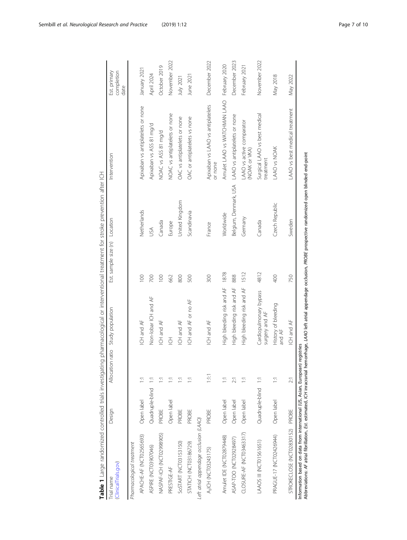<span id="page-6-0"></span>

| Table 1 Large randomized controlled trials investigating pharmacological or interventional treatment for stroke prevention after ICH                                                                                                               |                 |            |                                          |                               |                       |                                              |                                    |
|----------------------------------------------------------------------------------------------------------------------------------------------------------------------------------------------------------------------------------------------------|-----------------|------------|------------------------------------------|-------------------------------|-----------------------|----------------------------------------------|------------------------------------|
| (ClinicalTrials.gov)<br>Trial name                                                                                                                                                                                                                 | Design          |            | Allocation ratio Study population        | Est. sample size (n) Location |                       | Intervention                                 | Est. primary<br>completion<br>date |
| Pharmacological treatment                                                                                                                                                                                                                          |                 |            |                                          |                               |                       |                                              |                                    |
| APACHE-AF (NCT02565693)                                                                                                                                                                                                                            | Open label      | Ξ          | ICH and AF                               | $\infty$                      | Netherlands           | Apixaban vs antiplatelets or none            | January 2021                       |
| ASPIRE (NCT03907046)                                                                                                                                                                                                                               | Quadruple-blind | Ξ          | Non-lobar ICH and AF                     | 700                           | JSΑ                   | Apixaban vs ASS 81 mg/d                      | April 2024                         |
| NASPAF-ICH (NCT02998905)                                                                                                                                                                                                                           | PROBE           | Ξ          | ICH and AF                               | 100                           | Canada                | NOAC vs ASS 81 mg/d                          | October 2019                       |
| PRESTIGE-AF                                                                                                                                                                                                                                        | Open label      | 툳          | $\overline{\underline{C}}$               | 662                           | Europe                | NOAC vs antiplatelets or none                | November 2022                      |
| SOSTART (NCT03153150)                                                                                                                                                                                                                              | PROBE           | Ξ          | ICH and AF                               | 800                           | United Kingdom        | OAC vs antiplatelets or none                 | July 2021                          |
| <b>STATICH (NCT03186729)</b>                                                                                                                                                                                                                       | PROBE           | Ξ          | ICH and AF or no AF                      | 500                           | Scandinavia           | OAC or antiplatelets vs none                 | June 2021                          |
| Left atrial appendage occlusion (LAAO)                                                                                                                                                                                                             |                 |            |                                          |                               |                       |                                              |                                    |
| A <sub>3</sub> ICH (NCT03243175)                                                                                                                                                                                                                   | PROBE           | E          | ICH and AF                               | 300                           | France                | Apixaban vs LAAO vs antiplatelets<br>or none | December 2022                      |
| Amulet IDE (NCT02879448)                                                                                                                                                                                                                           | Open label      | Ξ          | High bleeding risk and AF                | 1878                          | Worldwide             | Amulet LAAO vs WATCHMAN LAAO February 2020   |                                    |
| ASAP-TOO (NCT02928497)                                                                                                                                                                                                                             | Open label      | $\geq$     | High bleeding risk and AF                | 888                           | Belgium, Denmark, USA | LAAO vs antiplatelets or none                | December 2023                      |
| CLOSURE-AF (NCT03463317)                                                                                                                                                                                                                           | Open label      | Ξ          | High bleeding risk and AF                | 1512                          | Germany               | LAAO vs active comparator<br>(NOAK or VKA)   | February 2021                      |
| LAAOS III (NCTO1561651)                                                                                                                                                                                                                            | Quadruple-blind | E          | Cardiopulmonary bypass<br>surgery and AF | 4812                          | Canada                | Surgical LAAO vs best medical<br>treatment   | November 2022                      |
| PRAGUE-17 (NCT02426944)                                                                                                                                                                                                                            | Open label      | Ξ          | History of bleeding<br>and AF            | 400                           | Czech Republic        | LAAO vs NOAK                                 | May 2018                           |
| STROKECLOSE (NCT02830152) PROBE                                                                                                                                                                                                                    |                 | $\geq$     | ICH and AF                               | 750                           | Sweden                | LAAO vs best medical treatment               | May 2022                           |
| Abbreviations: AF atrial fibrillation, Est. estimated, ICH inracranial hemorrhage, LAAO left atrial appendage occlusion, PROBE prospective randomized open blinded end-point<br>Information based on data from international (US, Asian, European) |                 | registries |                                          |                               |                       |                                              |                                    |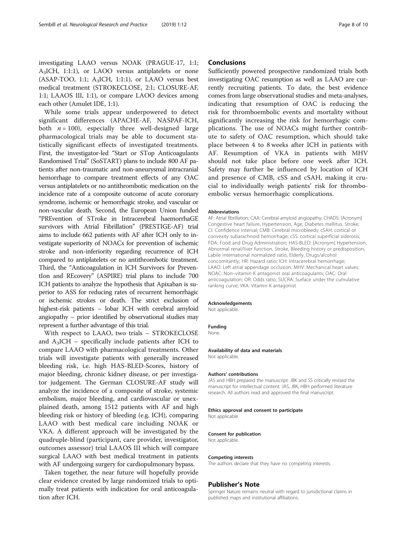While some trials appear underpowered to detect significant differences (APACHE-AF, NASPAF-ICH, both  $n = 100$ , especially three well-designed large pharmacological trials may be able to document statistically significant effects of investigated treatments. First, the investigator-led "Start or STop Anticoagulants Randomised Trial" (SoSTART) plans to include 800 AF patients after non-traumatic and non-aneurysmal intracranial hemorrhage to compare treatment effects of any OAC versus antiplatelets or no antithrombotic medication on the incidence rate of a composite outcome of acute coronary syndrome, ischemic or hemorrhagic stroke, and vascular or non-vascular death. Second, the European Union funded "PREvention of STroke in Intracerebral haemorrhaGE survivors with Atrial Fibrillation" (PRESTIGE-AF) trial aims to include 662 patients with AF after ICH only to investigate superiority of NOACs for prevention of ischemic stroke and non-inferiority regarding recurrence of ICH compared to antiplatelets or no antithrombotic treatment. Third, the "Anticoagulation in ICH Survivors for PreventIon and REcovery" (ASPIRE) trial plans to include 700 ICH patients to analyze the hypothesis that Apixaban is superior to ASS for reducing rates of recurrent hemorrhagic or ischemic strokes or death. The strict exclusion of highest-risk patients – lobar ICH with cerebral amyloid angiopathy – prior identified by observational studies may represent a further advantage of this trial.

With respect to LAAO, two trials – STROKECLOSE and  $A_3$ ICH – specifically include patients after ICH to compare LAAO with pharmacological treatments. Other trials will investigate patients with generally increased bleeding risk, i.e. high HAS-BLED-Scores, history of major bleeding, chronic kidney disease, or per investigator judgement. The German CLOSURE-AF study will analyze the incidence of a composite of stroke, systemic embolism, major bleeding, and cardiovascular or unexplained death, among 1512 patients with AF and high bleeding risk or history of bleeding (e.g. ICH), comparing LAAO with best medical care including NOAK or VKA. A different approach will be investigated by the quadruple-blind (participant, care provider, investigator, outcomes assessor) trial LAAOS III which will compare surgical LAAO with best medical treatment in patients with AF undergoing surgery for cardiopulmonary bypass.

Taken together, the near future will hopefully provide clear evidence created by large randomized trials to optimally treat patients with indication for oral anticoagulation after ICH.

### **Conclusions**

Sufficiently powered prospective randomized trials both investigating OAC resumption as well as LAAO are currently recruiting patients. To date, the best evidence comes from large observational studies and meta-analyses, indicating that resumption of OAC is reducing the risk for thromboembolic events and mortality without significantly increasing the risk for hemorrhagic complications. The use of NOACs might further contribute to safety of OAC resumption, which should take place between 4 to 8 weeks after ICH in patients with AF. Resumption of VKA in patients with MHV should not take place before one week after ICH. Safety may further be influenced by location of ICH and presence of CMB, cSS and cSAH, making it crucial to individually weigh patients' risk for thromboembolic versus hemorrhagic complications.

#### Abbreviations

AF: Atrial fibrillation; CAA: Cerebral amyloid angiopathy; CHADS: [Acronym] Congestive heart failure, Hypertension, Age, Diabetes mellitus, Stroke; CI: Confidence interval; CMB: Cerebral microbleeds; cSAH: cortical or convexity subarachnoid hemorrhage; cSS: cortical superficial siderosis; FDA: Food and Drug Administration; HAS-BLED: [Acronym] Hypertension, Abnormal renal/liver function, Stroke, Bleeding history or predisposition, Labile international normalized ratio, Elderly, Drugs/alcohol concomitantly; HR: Hazard ratio; ICH: Intracerebral hemorrhage; LAAO: Left atrial appendage occlusion; MHV: Mechanical heart valves; NOAC: Non–vitamin K antagonist oral anticoagulants; OAC: Oral anticoagulation; OR: Odds ratio; SUCRA: Surface under the cumulative ranking curve; VKA: Vitamin K antagonist

#### Acknowledgements

Not applicable.

#### Funding

None.

#### Availability of data and materials Not applicable.

#### Authors' contributions

JAS and HBH prepared the manuscript. JBK and SS critically revised the manuscript for intellectual content. JAS, JBK, HBH performed literature research. All authors read and approved the final manuscript.

#### Ethics approval and consent to participate

Not applicable.

#### Consent for publication

Not applicable.

#### Competing interests

The authors declare that they have no competing interests.

#### Publisher's Note

Springer Nature remains neutral with regard to jurisdictional claims in published maps and institutional affiliations.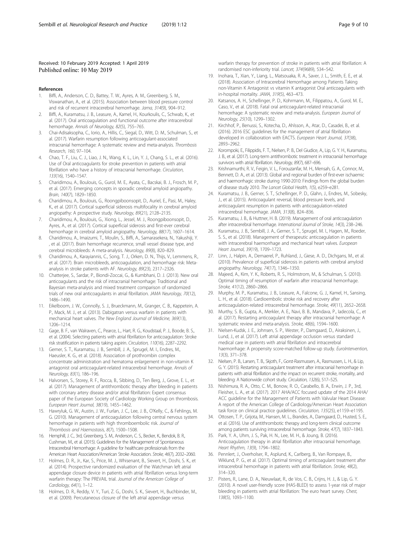#### <span id="page-8-0"></span>Received: 10 February 2019 Accepted: 1 April 2019 Published online: 10 May 2019

#### References

- 1. Biffi, A., Anderson, C. D., Battey, T. W., Ayres, A. M., Greenberg, S. M., Viswanathan, A., et al. (2015). Association between blood pressure control and risk of recurrent intracerebral hemorrhage. Jama, 314(9), 904–912.
- 2. Biffi, A., Kuramatsu, J. B., Leasure, A., Kamel, H., Kourkoulis, C., Schwab, K., et al. (2017). Oral anticoagulation and functional outcome after intracerebral hemorrhage. Annals of Neurology, 82(5), 755–765.
- 3. Chai-Adisaksopha, C., Iorio, A., Hillis, C., Siegal, D., Witt, D. M., Schulman, S., et al. (2017). Warfarin resumption following anticoagulant-associated intracranial hemorrhage: A systematic review and meta-analysis. Thrombosis Research, 160, 97–104.
- 4. Chao, T. F., Liu, C. J., Liao, J. N., Wang, K. L., Lin, Y. J., Chang, S. L., et al. (2016). Use of Oral anticoagulants for stroke prevention in patients with atrial fibrillation who have a history of intracranial hemorrhage. Circulation, 133(16), 1540–1547.
- 5. Charidimou, A., Boulouis, G., Gurol, M. E., Ayata, C., Bacskai, B. J., Frosch, M. P., et al. (2017). Emerging concepts in sporadic cerebral amyloid angiopathy. Brain, 140(7), 1829–1850.
- 6. Charidimou, A., Boulouis, G., Roongpiboonsopit, D., Auriel, E., Pasi, M., Haley, K., et al. (2017). Cortical superficial siderosis multifocality in cerebral amyloid angiopathy: A prospective study. Neurology, 89(21), 2128–2135.
- 7. Charidimou, A., Boulouis, G., Xiong, L., Jessel, M. J., Roongpiboonsopit, D., Ayres, A., et al. (2017). Cortical superficial siderosis and first-ever cerebral hemorrhage in cerebral amyloid angiopathy. Neurology, 88(17), 1607–1614.
- 8. Charidimou, A., Imaizumi, T., Moulin, S., Biffi, A., Samarasekera, N., Yakushiji, Y. , et al. (2017). Brain hemorrhage recurrence, small vessel disease type, and cerebral microbleeds: A meta-analysis. Neurology, 89(8), 820–829.
- 9. Charidimou, A., Karayiannis, C., Song, T. J., Orken, D. N., Thijs, V., Lemmens, R., et al. (2017). Brain microbleeds, anticoagulation, and hemorrhage risk: Metaanalysis in stroke patients with AF. Neurology, 89(23), 2317–2326.
- 10. Chatterjee, S., Sardar, P., Biondi-Zoccai, G., & Kumbhani, D. J. (2013). New oral anticoagulants and the risk of intracranial hemorrhage: Traditional and Bayesian meta-analysis and mixed treatment comparison of randomized trials of new oral anticoagulants in atrial fibrillation. JAMA Neurology, 70(12), 1486–1490.
- 11. Eikelboom, J. W., Connolly, S. J., Brueckmann, M., Granger, C. B., Kappetein, A. P., Mack, M. J., et al. (2013). Dabigatran versus warfarin in patients with mechanical heart valves. The New England Journal of Medicine, 369(13), 1206–1214.
- 12. Gage, B. F., van Walraven, C., Pearce, L., Hart, R. G., Koudstaal, P. J., Boode, B. S., et al. (2004). Selecting patients with atrial fibrillation for anticoagulation: Stroke risk stratification in patients taking aspirin. Circulation, 110(16), 2287–2292.
- 13. Gerner, S. T., Kuramatsu, J. B., Sembill, J. A., Sprugel, M. I., Endres, M., Haeusler, K. G., et al. (2018). Association of prothrombin complex concentrate administration and hematoma enlargement in non-vitamin K antagonist oral anticoagulant-related intracerebral hemorrhage. Annals of Neurology, 83(1), 186–196.
- 14. Halvorsen, S., Storey, R. F., Rocca, B., Sibbing, D., Ten Berg, J., Grove, E. L., et al. (2017). Management of antithrombotic therapy after bleeding in patients with coronary artery disease and/or atrial fibrillation: Expert consensus paper of the European Society of Cardiology Working Group on thrombosis. European Heart Journal, 38(19), 1455–1462.
- 15. Hawryluk, G. W., Austin, J. W., Furlan, J. C., Lee, J. B., O'Kelly, C., & Fehlings, M. G. (2010). Management of anticoagulation following central nervous system hemorrhage in patients with high thromboembolic risk. Journal of Thrombosis and Haemostasis, 8(7), 1500–1508.
- 16. Hemphill, J. C., 3rd, Greenberg, S. M., Anderson, C. S., Becker, K., Bendok, B. R., Cushman, M., et al. (2015). Guidelines for the Management of Spontaneous Intracerebral Hemorrhage: A guideline for healthcare professionals from the American Heart Association/American Stroke Association. Stroke, 46(7), 2032–2060.
- 17. Holmes, D. R., Jr., Kar, S., Price, M. J., Whisenant, B., Sievert, H., Doshi, S. K., et al. (2014). Prospective randomized evaluation of the Watchman left atrial appendage closure device in patients with atrial fibrillation versus long-term warfarin therapy: The PREVAIL trial. Journal of the American College of Cardiology, 64(1), 1–12.
- 18. Holmes, D. R., Reddy, V. Y., Turi, Z. G., Doshi, S. K., Sievert, H., Buchbinder, M., et al. (2009). Percutaneous closure of the left atrial appendage versus

warfarin therapy for prevention of stroke in patients with atrial fibrillation: A randomised non-inferiority trial. Lancet, 374(9689), 534–542.

- 19. Inohara, T., Xian, Y., Liang, L., Matsouaka, R. A., Saver, J. L., Smith, E. E., et al. (2018). Association of Intracerebral Hemorrhage among Patients Taking non-Vitamin K Antagonist vs vitamin K antagonist Oral anticoagulants with in-hospital mortality. JAMA, 319(5), 463–473.
- 20. Katsanos, A. H., Schellinger, P. D., Kohrmann, M., Filippatou, A., Gurol, M. E., Caso, V., et al. (2018). Fatal oral anticoagulant-related intracranial hemorrhage: A systematic review and meta-analysis. European Journal of Neurology, 25(10), 1299–1302.
- 21. Kirchhof, P., Benussi, S., Kotecha, D., Ahlsson, A., Atar, D., Casadei, B., et al. (2016). 2016 ESC guidelines for the management of atrial fibrillation developed in collaboration with EACTS. European Heart Journal, 37(38), 2893–2962.
- 22. Korompoki, E., Filippidis, F. T., Nielsen, P. B., Del Giudice, A., Lip, G. Y. H., Kuramatsu, J. B., et al. (2017). Long-term antithrombotic treatment in intracranial hemorrhage survivors with atrial fibrillation. Neurology, 89(7), 687–696.
- 23. Krishnamurthi, R. V., Feigin, V. L., Forouzanfar, M. H., Mensah, G. A., Connor, M., Bennett, D. A., et al. (2013). Global and regional burden of first-ever ischaemic and haemorrhagic stroke during 1990-2010: Findings from the global burden of disease study 2010. The Lancet Global Health, 1(5), e259–e281.
- 24. Kuramatsu, J. B., Gerner, S. T., Schellinger, P. D., Glahn, J., Endres, M., Sobesky, J., et al. (2015). Anticoagulant reversal, blood pressure levels, and anticoagulant resumption in patients with anticoagulation-related intracerebral hemorrhage. JAMA, 313(8), 824–836.
- 25. Kuramatsu, J. B., & Huttner, H. B. (2019). Management of oral anticoagulation after intracerebral hemorrhage. International Journal of Stroke, 14(3), 238–246.
- 26. Kuramatsu, J. B., Sembill, J. A., Gerner, S. T., Sprugel, M. I., Hagen, M., Roeder, S. S., et al. (2018). Management of therapeutic anticoagulation in patients with intracerebral haemorrhage and mechanical heart valves. European Heart Journal, 39(19), 1709–1723.
- 27. Linn, J., Halpin, A., Demaerel, P., Ruhland, J., Giese, A. D., Dichgans, M., et al. (2010). Prevalence of superficial siderosis in patients with cerebral amyloid angiopathy. Neurology, 74(17), 1346–1350.
- 28. Majeed, A., Kim, Y. K., Roberts, R. S., Holmstrom, M., & Schulman, S. (2010). Optimal timing of resumption of warfarin after intracranial hemorrhage. Stroke, 41(12), 2860–2866.
- 29. Murphy, M. P., Kuramatsu, J. B., Leasure, A., Falcone, G. J., Kamel, H., Sansing, L. H., et al. (2018). Cardioembolic stroke risk and recovery after anticoagulation-related intracerebral hemorrhage. Stroke, 49(11), 2652–2658.
- 30. Murthy, S. B., Gupta, A., Merkler, A. E., Navi, B. B., Mandava, P., Iadecola, C., et al. (2017). Restarting anticoagulant therapy after intracranial hemorrhage: A systematic review and meta-analysis. Stroke, 48(6), 1594–1600.
- 31. Nielsen-Kudsk, J. E., Johnsen, S. P., Wester, P., Damgaard, D., Airaksinen, J., Lund, J., et al. (2017). Left atrial appendage occlusion versus standard medical care in patients with atrial fibrillation and intracerebral haemorrhage: A propensity score-matched follow-up study. EuroIntervention, 13(3), 371–378.
- 32. Nielsen, P. B., Larsen, T. B., Skjoth, F., Gorst-Rasmussen, A., Rasmussen, L. H., & Lip, G. Y. (2015). Restarting anticoagulant treatment after intracranial hemorrhage in patients with atrial fibrillation and the impact on recurrent stroke, mortality, and bleeding: A Nationwide cohort study. Circulation, 132(6), 517–525.
- 33. Nishimura, R. A., Otto, C. M., Bonow, R. O., Carabello, B. A., Erwin, J. P., 3rd, Fleisher, L. A., et al. (2017). 2017 AHA/ACC focused update of the 2014 AHA/ ACC guideline for the Management of Patients with Valvular Heart Disease: A report of the American College of Cardiology/American Heart Association task force on clinical practice guidelines. Circulation, 135(25), e1159–e1195.
- 34. Ottosen, T. P., Grijota, M., Hansen, M. L., Brandes, A., Damgaard, D., Husted, S. E., et al. (2016). Use of antithrombotic therapy and long-term clinical outcome among patients surviving intracerebral hemorrhage. Stroke, 47(7), 1837–1843.
- 35. Park, Y. A., Uhm, J. S., Pak, H. N., Lee, M. H., & Joung, B. (2016). Anticoagulation therapy in atrial fibrillation after intracranial hemorrhage. Heart Rhythm, 13(9), 1794–1802.
- 36. Pennlert, J., Overholser, R., Asplund, K., Carlberg, B., Van Rompaye, B., Wiklund, P. G., et al. (2017). Optimal timing of anticoagulant treatment after intracerebral hemorrhage in patients with atrial fibrillation. Stroke, 48(2), 314–320.
- 37. Pisters, R., Lane, D. A., Nieuwlaat, R., de Vos, C. B., Crijns, H. J., & Lip, G. Y. (2010). A novel user-friendly score (HAS-BLED) to assess 1-year risk of major bleeding in patients with atrial fibrillation: The euro heart survey. Chest, 138(5), 1093–1100.